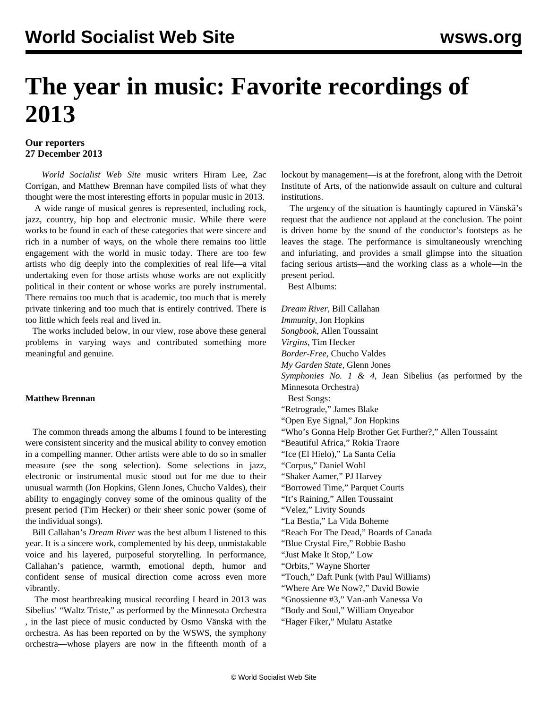# **The year in music: Favorite recordings of 2013**

## **Our reporters 27 December 2013**

 *World Socialist Web Site* music writers Hiram Lee, Zac Corrigan, and Matthew Brennan have compiled lists of what they thought were the most interesting efforts in popular music in 2013.

 A wide range of musical genres is represented, including rock, jazz, country, hip hop and electronic music. While there were works to be found in each of these categories that were sincere and rich in a number of ways, on the whole there remains too little engagement with the world in music today. There are too few artists who dig deeply into the complexities of real life—a vital undertaking even for those artists whose works are not explicitly political in their content or whose works are purely instrumental. There remains too much that is academic, too much that is merely private tinkering and too much that is entirely contrived. There is too little which feels real and lived in.

 The works included below, in our view, rose above these general problems in varying ways and contributed something more meaningful and genuine.

### **Matthew Brennan**

 The common threads among the albums I found to be interesting were consistent sincerity and the musical ability to convey emotion in a compelling manner. Other artists were able to do so in smaller measure (see the song selection). Some selections in jazz, electronic or instrumental music stood out for me due to their unusual warmth (Jon Hopkins, Glenn Jones, Chucho Valdes), their ability to engagingly convey some of the ominous quality of the present period (Tim Hecker) or their sheer sonic power (some of the individual songs).

 Bill Callahan's *Dream River* was the best album I listened to this year. It is a sincere work, complemented by his deep, unmistakable voice and his layered, purposeful storytelling. In performance, Callahan's patience, warmth, emotional depth, humor and confident sense of musical direction come across even more vibrantly.

 The most heartbreaking musical recording I heard in 2013 was Sibelius' "Waltz Triste," as performed [by the Minnesota Orchestra](https://www.youtube.com/watch?v=T9TZjLjE47w) , in the last piece of music conducted by Osmo Vänskä with the orchestra. As has been reported on by the [WSWS](/en/articles/2013/10/04/minn-o04.html), the symphony orchestra—whose players are now in the fifteenth month of a lockout by management—is at the forefront, along with the Detroit Institute of Arts, of the nationwide assault on culture and cultural institutions.

 The urgency of the situation is hauntingly captured in Vänskä's request that the audience not applaud at the conclusion. The point is driven home by the sound of the conductor's footsteps as he leaves the stage. The performance is simultaneously wrenching and infuriating, and provides a small glimpse into the situation facing serious artists—and the working class as a whole—in the present period.

Best Albums:

*Dream River*, Bill Callahan *Immunity*, Jon Hopkins *Songbook*, Allen Toussaint *Virgins*, Tim Hecker *Border-Free*, Chucho Valdes *My Garden State*, Glenn Jones *Symphonies No. 1 & 4*, Jean Sibelius (as performed by the Minnesota Orchestra) Best Songs: "Retrograde," James Blake "Open Eye Signal," Jon Hopkins "Who's Gonna Help Brother Get Further?," Allen Toussaint "Beautiful Africa," Rokia Traore "Ice (El Hielo)," La Santa Celia "Corpus," Daniel Wohl "Shaker Aamer," PJ Harvey "Borrowed Time," Parquet Courts "It's Raining," Allen Toussaint "Velez," Livity Sounds "La Bestia," La Vida Boheme "Reach For The Dead," Boards of Canada "Blue Crystal Fire," Robbie Basho "Just Make It Stop," Low "Orbits," Wayne Shorter "Touch," Daft Punk (with Paul Williams) "Where Are We Now?," David Bowie "Gnossienne #3," Van-anh Vanessa Vo "Body and Soul," William Onyeabor

"Hager Fiker," Mulatu Astatke